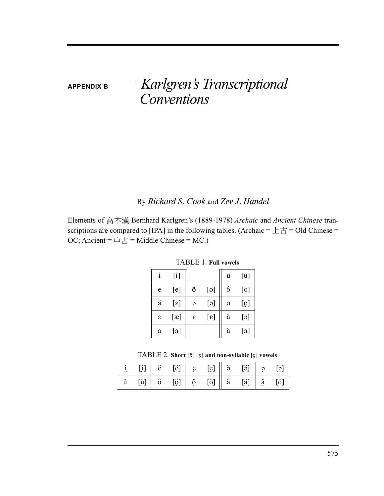**APPENDIX B** *Karlgren's Transcriptional Conventions*

## By *Richard S. Cook* and *Zev J. Handel*

Elements of 高本漢 Bernhard Karlgren's (1889-1978) Archaic and Ancient Chinese transcriptions are compared to [IPA] in the following tables. (Archaic =  $\pm \pm =$  Old Chinese = OC; Ancient =  $\uparrow \uparrow \pm$  = Middle Chinese = MC.)

|   | $[$          |                |                  | u           | [u]       |
|---|--------------|----------------|------------------|-------------|-----------|
| e | [e]          | ö              | $[\Theta]$       | ô           | [0]       |
| ä | $[\epsilon]$ | $\Theta$       | [ə]              | $\mathbf 0$ | [و]       |
| ε | [x]          | $\mathfrak{v}$ | $[\mathfrak{v}]$ | å           | $[\circ]$ |
| a | [a]          |                |                  | â           | [a]       |

TABLE 1. **Full vowels**

|  |  | TABLE 2. Short $[\check{x}]$ $[x]$ and non-syllabic $[\check{x}]$ vowels |
|--|--|--------------------------------------------------------------------------|
|--|--|--------------------------------------------------------------------------|

|             | [i]                                                                                                                                                                                             |  | $\check{e}$ [ $\check{e}$ ] $\left  \begin{array}{cc} g \\ g \end{array} \right $ [ $\check{q}$ ] $\left  \begin{array}{cc} 3 & 5 \\ 2 & 1 \end{array} \right $ [ $\check{q}$ ] $\left  \begin{array}{cc} g \\ g \end{array} \right $                                                                                                                                                                                                                                                                                                                                |  |  |
|-------------|-------------------------------------------------------------------------------------------------------------------------------------------------------------------------------------------------|--|----------------------------------------------------------------------------------------------------------------------------------------------------------------------------------------------------------------------------------------------------------------------------------------------------------------------------------------------------------------------------------------------------------------------------------------------------------------------------------------------------------------------------------------------------------------------|--|--|
| $\check{u}$ | $[\check{\mathfrak{u}}] % \centering \includegraphics[width=1\textwidth]{images/Traj_48.png} % \caption{The figure shows the results of the estimators in the left hand side.} \label{Traj_48}$ |  | $\begin{array}{ c c c c c c }\hline \circ & \check{\varrho} & \check{\varrho} & \check{\varrho} & \check{\varrho} & \check{\varrho} & \check{\varrho} & \check{\varrho} & \check{\varrho} & \check{\varrho} & \check{\varrho} & \check{\varrho} & \check{\varrho} & \check{\varrho} & \check{\varrho} & \check{\varrho} & \check{\varrho} & \check{\varrho} & \check{\varrho} & \check{\varrho} & \check{\varrho} & \check{\varrho} & \check{\varrho} & \check{\varrho} & \check{\varrho} & \check{\varrho} & \check{\varrho} & \check{\varrho} & \check{\varrho} &$ |  |  |